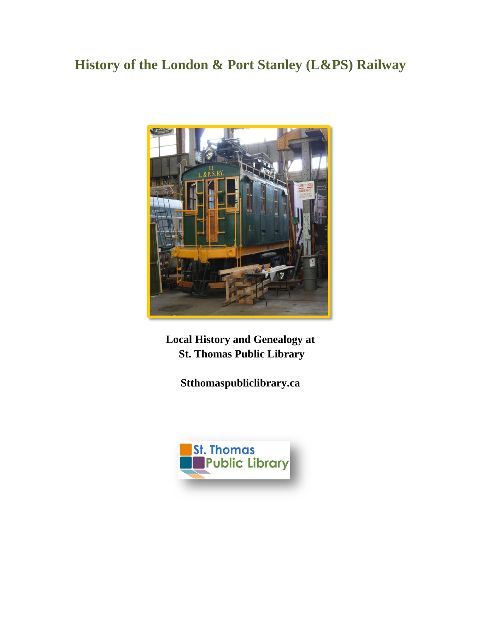## **History of the London & Port Stanley (L&PS) Railway**



**Local History and Genealogy at St. Thomas Public Library**

**Stthomaspubliclibrary.ca**

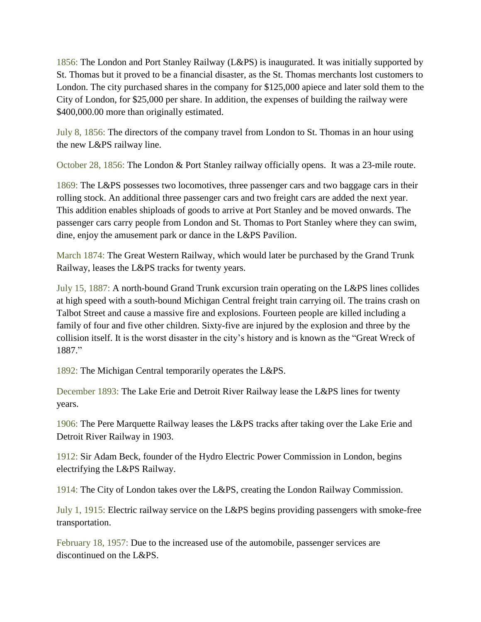1856: The London and Port Stanley Railway (L&PS) is inaugurated. It was initially supported by St. Thomas but it proved to be a financial disaster, as the St. Thomas merchants lost customers to London. The city purchased shares in the company for \$125,000 apiece and later sold them to the City of London, for \$25,000 per share. In addition, the expenses of building the railway were \$400,000.00 more than originally estimated.

July 8, 1856: The directors of the company travel from London to St. Thomas in an hour using the new L&PS railway line.

October 28, 1856: The London & Port Stanley railway officially opens. It was a 23-mile route.

1869: The L&PS possesses two locomotives, three passenger cars and two baggage cars in their rolling stock. An additional three passenger cars and two freight cars are added the next year. This addition enables shiploads of goods to arrive at Port Stanley and be moved onwards. The passenger cars carry people from London and St. Thomas to Port Stanley where they can swim, dine, enjoy the amusement park or dance in the L&PS Pavilion.

March 1874: The Great Western Railway, which would later be purchased by the Grand Trunk Railway, leases the L&PS tracks for twenty years.

July 15, 1887: A north-bound Grand Trunk excursion train operating on the L&PS lines collides at high speed with a south-bound Michigan Central freight train carrying oil. The trains crash on Talbot Street and cause a massive fire and explosions. Fourteen people are killed including a family of four and five other children. Sixty-five are injured by the explosion and three by the collision itself. It is the worst disaster in the city's history and is known as the "Great Wreck of 1887."

1892: The Michigan Central temporarily operates the L&PS.

December 1893: The Lake Erie and Detroit River Railway lease the L&PS lines for twenty years.

1906: The Pere Marquette Railway leases the L&PS tracks after taking over the Lake Erie and Detroit River Railway in 1903.

1912: Sir Adam Beck, founder of the Hydro Electric Power Commission in London, begins electrifying the L&PS Railway.

1914: The City of London takes over the L&PS, creating the London Railway Commission.

July 1, 1915: Electric railway service on the L&PS begins providing passengers with smoke-free transportation.

February 18, 1957: Due to the increased use of the automobile, passenger services are discontinued on the L&PS.